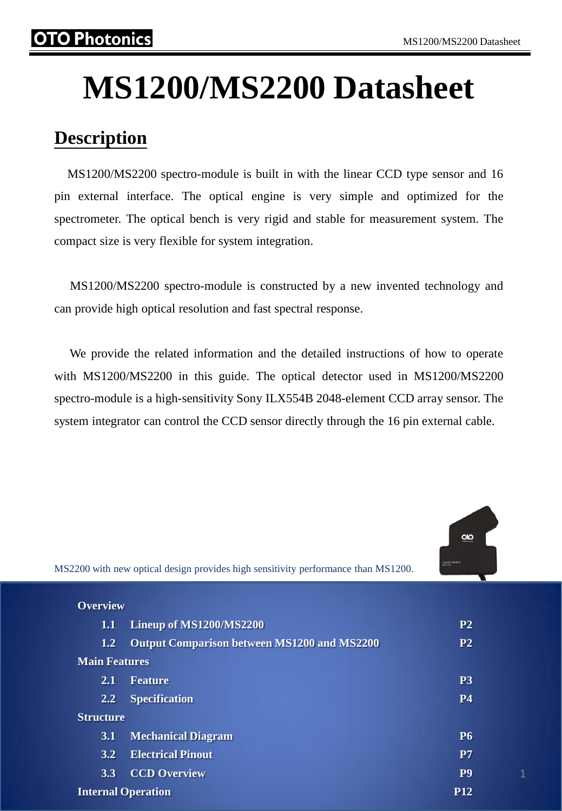# **MS1200/MS2200 Datasheet**

# **Description**

 MS1200/MS2200 spectro-module is built in with the linear CCD type sensor and 16 pin external interface. The optical engine is very simple and optimized for the spectrometer. The optical bench is very rigid and stable for measurement system. The compact size is very flexible for system integration.

 MS1200/MS2200 spectro-module is constructed by a new invented technology and can provide high optical resolution and fast spectral response.

 We provide the related information and the detailed instructions of how to operate with MS1200/MS2200 in this guide. The optical detector used in MS1200/MS2200 spectro-module is a high-sensitivity Sony ILX554B 2048-element CCD array sensor. The system integrator can control the CCD sensor directly through the 16 pin external cable.



MS2200 with new optical design provides high sensitivity performance than MS1200.

| <b>Overview</b>      |                                                    |                |
|----------------------|----------------------------------------------------|----------------|
| 1.1                  | Lineup of MS1200/MS2200                            | P <sub>2</sub> |
| 1.2                  | <b>Output Comparison between MS1200 and MS2200</b> | P <sub>2</sub> |
| <b>Main Features</b> |                                                    |                |
| 2.1                  | <b>Feature</b>                                     | P <sub>3</sub> |
| 2.2                  | <b>Specification</b>                               | <b>P4</b>      |
|                      | <b>Structure</b>                                   |                |
| 3.1                  | <b>Mechanical Diagram</b>                          | <b>P6</b>      |
| 3.2                  | <b>Electrical Pinout</b>                           | P <sub>7</sub> |
| 3.3                  | <b>CCD Overview</b>                                | P <sub>9</sub> |
|                      | <b>Internal Operation</b>                          |                |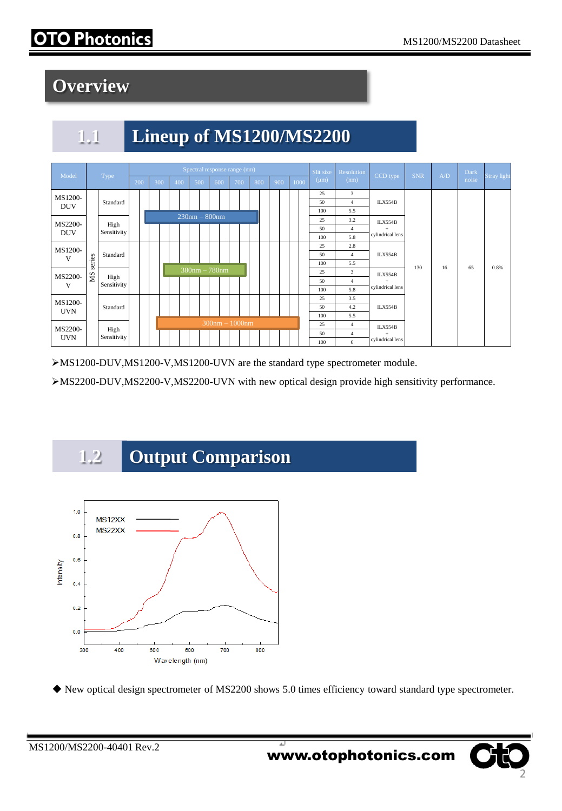# O Photonics

# **Overview**

# **1.1 Lineup of MS1200/MS2200**



MS1200-DUV,MS1200-V,MS1200-UVN are the standard type spectrometer module.

MS2200-DUV,MS2200-V,MS2200-UVN with new optical design provide high sensitivity performance.





New optical design spectrometer of MS2200 shows 5.0 times efficiency toward standard type spectrometer.

2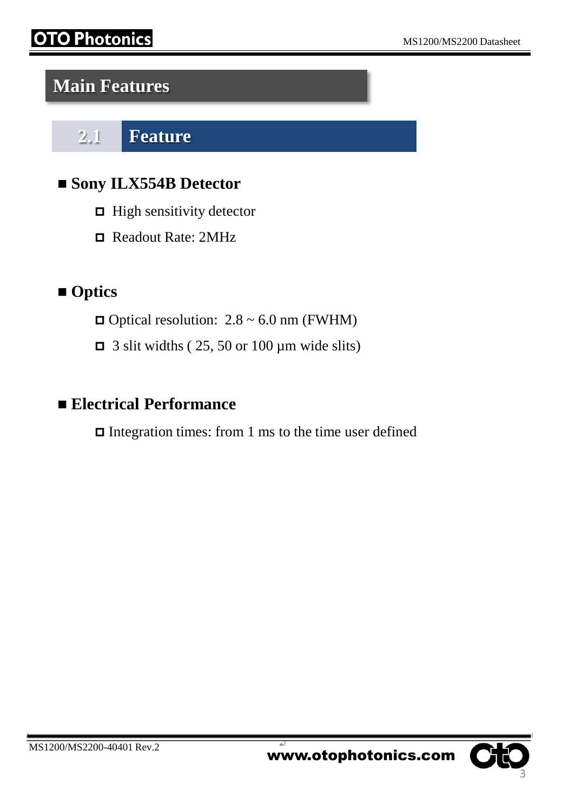# Photonics

# **Main Features**

**2.1 Feature**

#### **Sony ILX554B Detector**

- $\Box$  High sensitivity detector
- Readout Rate: 2MHz

# **Optics**

- $\Box$  Optical resolution: 2.8 ~ 6.0 nm (FWHM)
- $\Box$  3 slit widths (25, 50 or 100 µm wide slits)

## **Electrical Performance**

 $\Box$  Integration times: from 1 ms to the time user defined

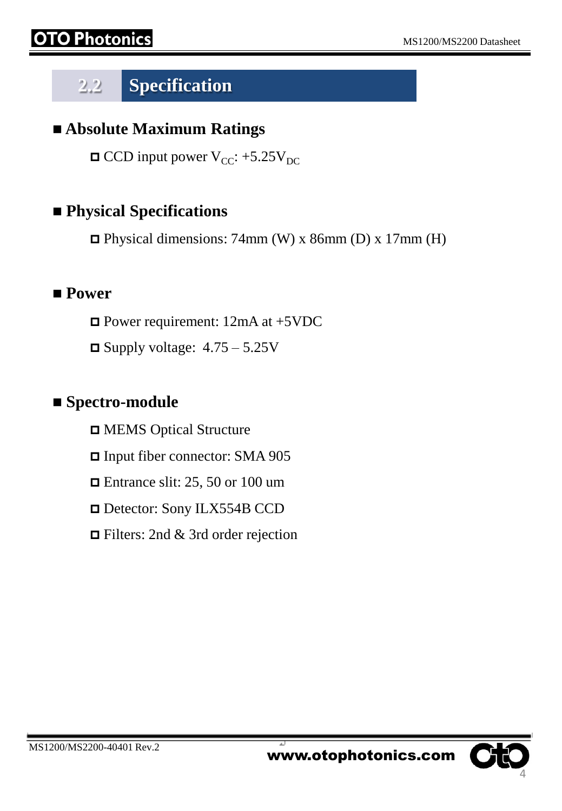# **2.2 Specification**

#### **Absolute Maximum Ratings**

 $\Box$  CCD input power V<sub>CC</sub>: +5.25V<sub>DC</sub>

#### **Physical Specifications**

 $\Box$  Physical dimensions: 74mm (W) x 86mm (D) x 17mm (H)

#### **Power**

Power requirement: 12mA at +5VDC

 $\Box$  Supply voltage:  $4.75 - 5.25V$ 

#### **Spectro-module**

MEMS Optical Structure

Input fiber connector: SMA 905

 $\Box$  Entrance slit: 25, 50 or 100 um

Detector: Sony ILX554B CCD

Filters: 2nd & 3rd order rejection

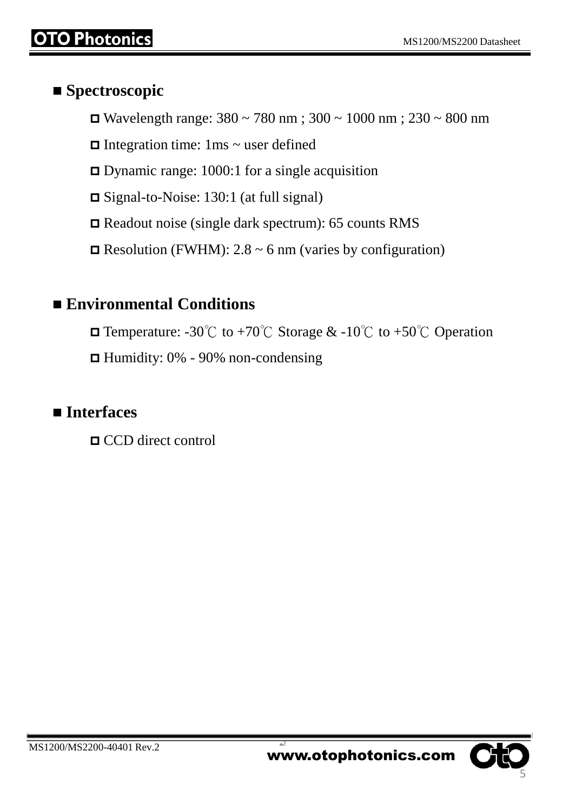#### ■ Spectroscopic

- Wavelength range:  $380 \sim 780$  nm;  $300 \sim 1000$  nm;  $230 \sim 800$  nm
- $\Box$  Integration time: 1ms  $\sim$  user defined
- Dynamic range: 1000:1 for a single acquisition
- Signal-to-Noise: 130:1 (at full signal)
- Readout noise (single dark spectrum): 65 counts RMS
- $\Box$  Resolution (FWHM): 2.8 ~ 6 nm (varies by configuration)

## **Environmental Conditions**

- **□** Temperature: -30°C to +70°C Storage & -10°C to +50°C Operation
- Humidity: 0% 90% non-condensing

## **Interfaces**

CCD direct control

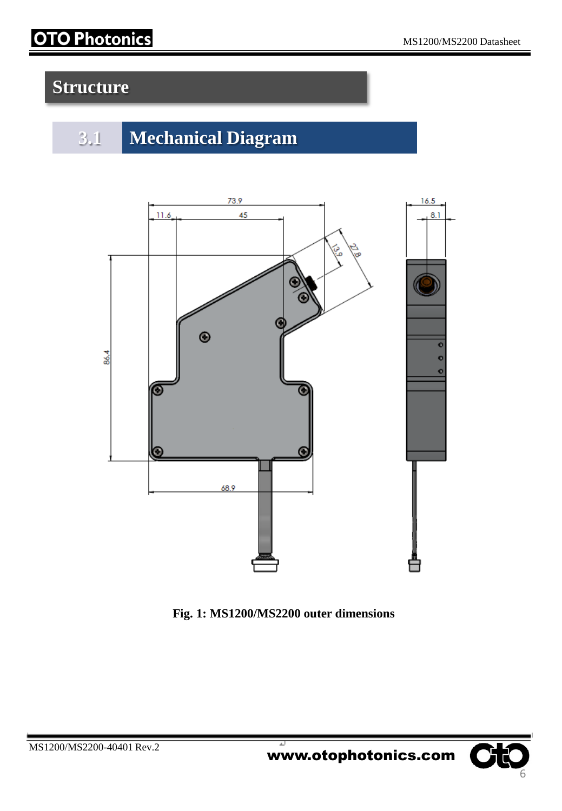# **OTO Photonics**

# **Structure**







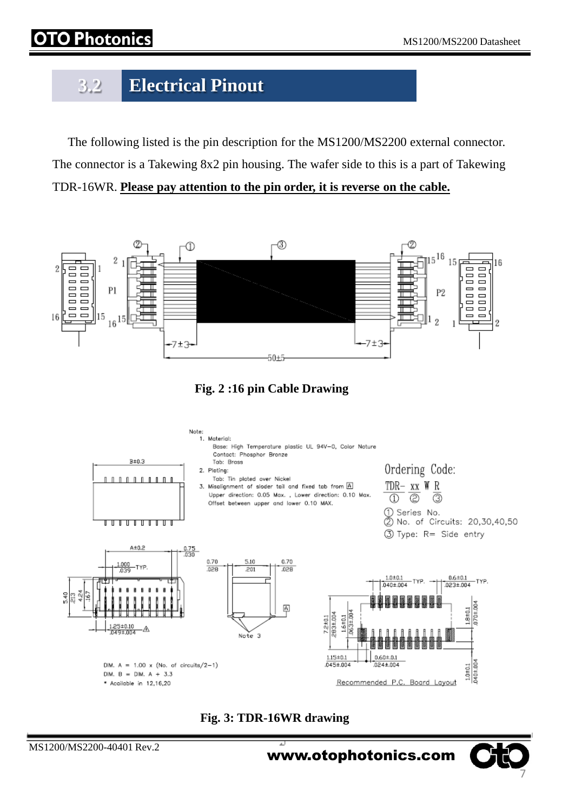# hotonics

# **3.2 Electrical Pinout**

 The following listed is the pin description for the MS1200/MS2200 external connector. The connector is a Takewing 8x2 pin housing. The wafer side to this is a part of Takewing TDR-16WR. **Please pay attention to the pin order, it is reverse on the cable.**



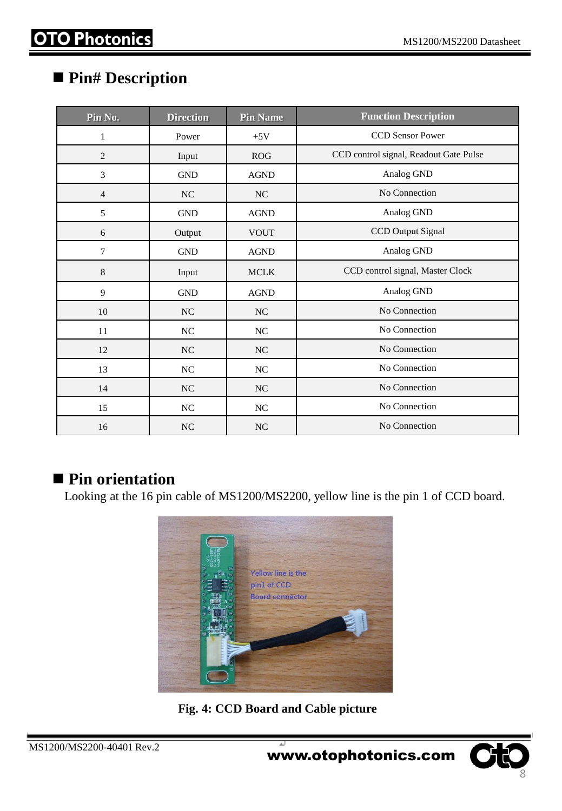#### **Pin# Description**

| Pin No.        | <b>Direction</b> | <b>Pin Name</b> | <b>Function Description</b>            |
|----------------|------------------|-----------------|----------------------------------------|
| $\mathbf{1}$   | Power            | $+5V$           | <b>CCD Sensor Power</b>                |
| $\overline{2}$ | Input            | ROG             | CCD control signal, Readout Gate Pulse |
| 3              | <b>GND</b>       | <b>AGND</b>     | Analog GND                             |
| $\overline{4}$ | <b>NC</b>        | NC              | No Connection                          |
| 5              | <b>GND</b>       | <b>AGND</b>     | Analog GND                             |
| 6              | Output           | <b>VOUT</b>     | CCD Output Signal                      |
| 7              | <b>GND</b>       | <b>AGND</b>     | Analog GND                             |
| $\,8$          | Input            | <b>MCLK</b>     | CCD control signal, Master Clock       |
| 9              | <b>GND</b>       | <b>AGND</b>     | Analog GND                             |
| 10             | $\rm NC$         | $\rm NC$        | No Connection                          |
| 11             | NC               | NC              | No Connection                          |
| 12             | NC               | NC              | No Connection                          |
| 13             | NC               | NC              | No Connection                          |
| 14             | NC               | NC              | No Connection                          |
| 15             | $\rm NC$         | $\rm NC$        | No Connection                          |
| 16             | $\rm NC$         | $\rm NC$        | No Connection                          |

#### ■ Pin orientation

Looking at the 16 pin cable of MS1200/MS2200, yellow line is the pin 1 of CCD board.



**Fig. 4: CCD Board and Cable picture**

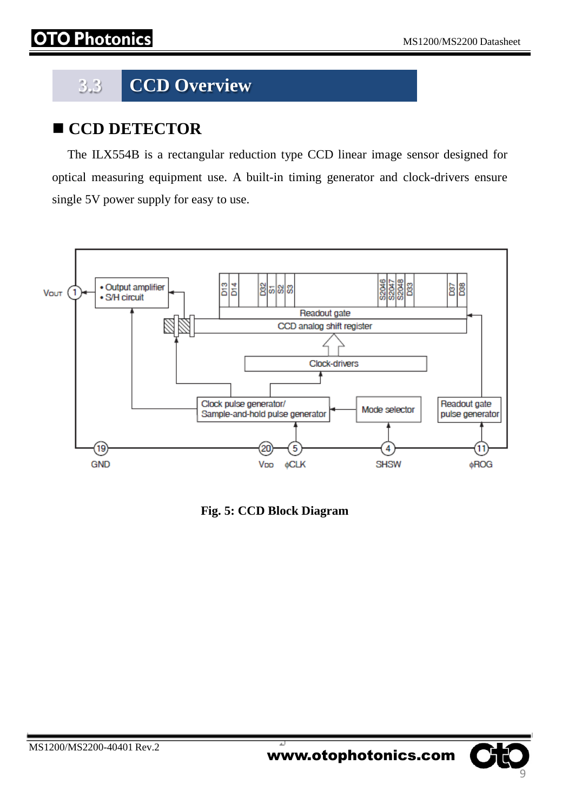# **3.3 CCD Overview**

## **CCD DETECTOR**

 The ILX554B is a rectangular reduction type CCD linear image sensor designed for optical measuring equipment use. A built-in timing generator and clock-drivers ensure single 5V power supply for easy to use.



**Fig. 5: CCD Block Diagram**

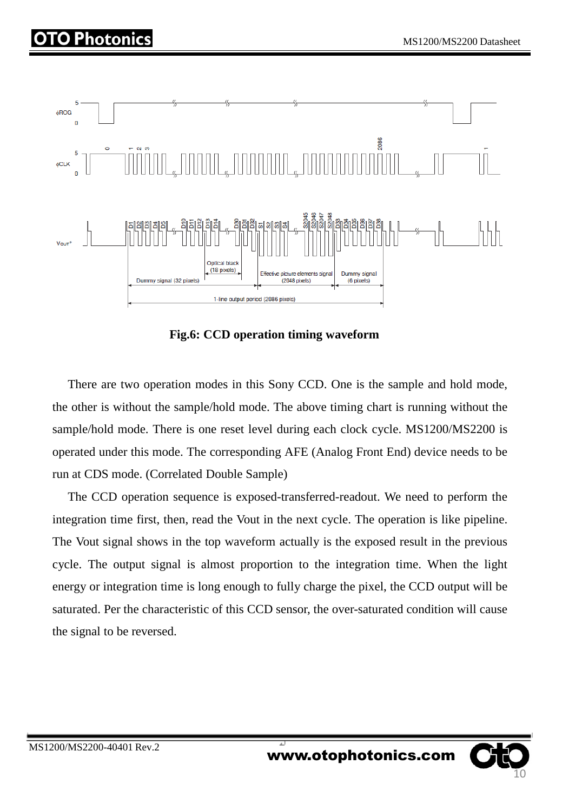

**Fig.6: CCD operation timing waveform**

 There are two operation modes in this Sony CCD. One is the sample and hold mode, the other is without the sample/hold mode. The above timing chart is running without the sample/hold mode. There is one reset level during each clock cycle. MS1200/MS2200 is operated under this mode. The corresponding AFE (Analog Front End) device needs to be run at CDS mode. (Correlated Double Sample)

 The CCD operation sequence is exposed-transferred-readout. We need to perform the integration time first, then, read the Vout in the next cycle. The operation is like pipeline. The Vout signal shows in the top waveform actually is the exposed result in the previous cycle. The output signal is almost proportion to the integration time. When the light energy or integration time is long enough to fully charge the pixel, the CCD output will be saturated. Per the characteristic of this CCD sensor, the over-saturated condition will cause the signal to be reversed.

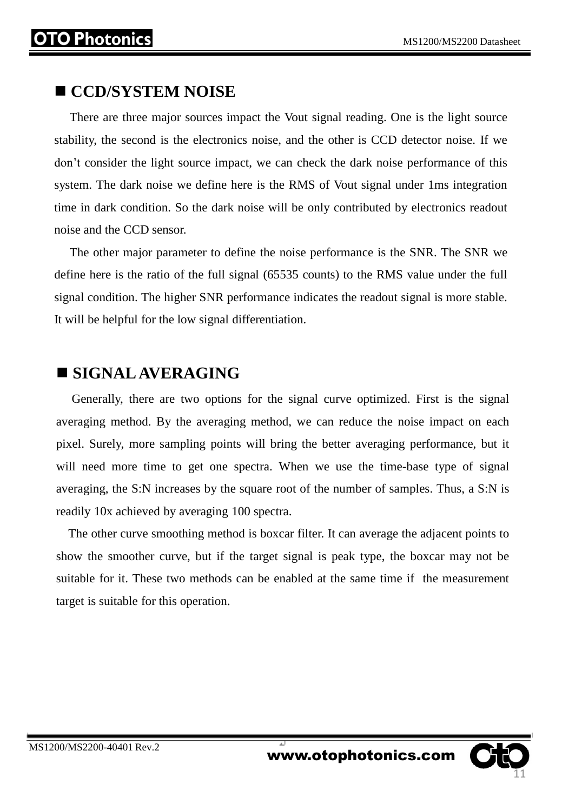#### **CCD/SYSTEM NOISE**

 There are three major sources impact the Vout signal reading. One is the light source stability, the second is the electronics noise, and the other is CCD detector noise. If we don't consider the light source impact, we can check the dark noise performance of this system. The dark noise we define here is the RMS of Vout signal under 1ms integration time in dark condition. So the dark noise will be only contributed by electronics readout noise and the CCD sensor.

 The other major parameter to define the noise performance is the SNR. The SNR we define here is the ratio of the full signal (65535 counts) to the RMS value under the full signal condition. The higher SNR performance indicates the readout signal is more stable. It will be helpful for the low signal differentiation.

#### **SIGNAL AVERAGING**

 Generally, there are two options for the signal curve optimized. First is the signal averaging method. By the averaging method, we can reduce the noise impact on each pixel. Surely, more sampling points will bring the better averaging performance, but it will need more time to get one spectra. When we use the time-base type of signal averaging, the S:N increases by the square root of the number of samples. Thus, a S:N is readily 10x achieved by averaging 100 spectra.

 The other curve smoothing method is boxcar filter. It can average the adjacent points to show the smoother curve, but if the target signal is peak type, the boxcar may not be suitable for it. These two methods can be enabled at the same time if the measurement target is suitable for this operation.